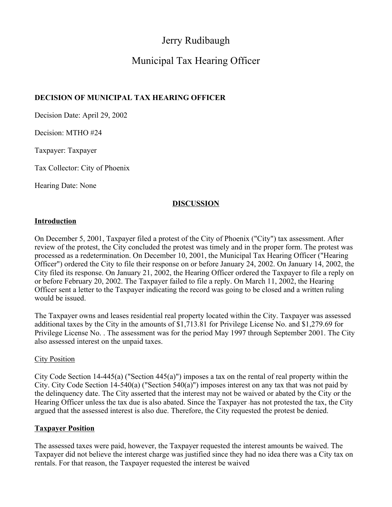# Jerry Rudibaugh

# Municipal Tax Hearing Officer

## **DECISION OF MUNICIPAL TAX HEARING OFFICER**

Decision Date: April 29, 2002

Decision: MTHO #24

Taxpayer: Taxpayer

Tax Collector: City of Phoenix

Hearing Date: None

### **DISCUSSION**

#### **Introduction**

On December 5, 2001, Taxpayer filed a protest of the City of Phoenix ("City") tax assessment. After review of the protest, the City concluded the protest was timely and in the proper form. The protest was processed as a redetermination. On December 10, 2001, the Municipal Tax Hearing Officer ("Hearing Officer") ordered the City to file their response on or before January 24, 2002. On January 14, 2002, the City filed its response. On January 21, 2002, the Hearing Officer ordered the Taxpayer to file a reply on or before February 20, 2002. The Taxpayer failed to file a reply. On March 11, 2002, the Hearing Officer sent a letter to the Taxpayer indicating the record was going to be closed and a written ruling would be issued.

The Taxpayer owns and leases residential real property located within the City. Taxpayer was assessed additional taxes by the City in the amounts of \$1,713.81 for Privilege License No. and \$1,279.69 for Privilege License No. . The assessment was for the period May 1997 through September 2001. The City also assessed interest on the unpaid taxes.

#### City Position

City Code Section 14-445(a) ("Section 445(a)") imposes a tax on the rental of real property within the City. City Code Section 14-540(a) ("Section 540(a)") imposes interest on any tax that was not paid by the delinquency date. The City asserted that the interest may not be waived or abated by the City or the Hearing Officer unless the tax due is also abated. Since the Taxpayer -has not protested the tax, the City argued that the assessed interest is also due. Therefore, the City requested the protest be denied.

#### **Taxpayer Position**

The assessed taxes were paid, however, the Taxpayer requested the interest amounts be waived. The Taxpayer did not believe the interest charge was justified since they had no idea there was a City tax on rentals. For that reason, the Taxpayer requested the interest be waived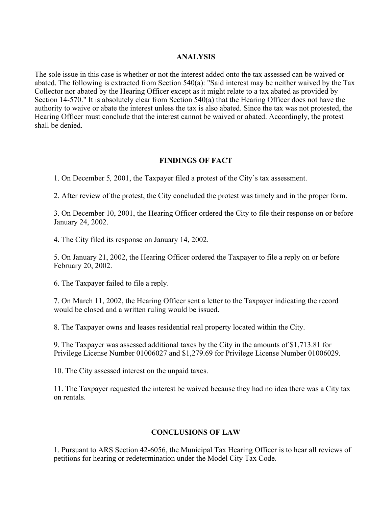#### **ANALYSIS**

The sole issue in this case is whether or not the interest added onto the tax assessed can be waived or abated. The following is extracted from Section 540(a): "Said interest may be neither waived by the Tax Collector nor abated by the Hearing Officer except as it might relate to a tax abated as provided by Section 14-570." It is absolutely clear from Section 540(a) that the Hearing Officer does not have the authority to waive or abate the interest unless the tax is also abated. Since the tax was not protested, the Hearing Officer must conclude that the interest cannot be waived or abated. Accordingly, the protest shall be denied.

### **FINDINGS OF FACT**

1. On December 5*,* 2001, the Taxpayer filed a protest of the City's tax assessment.

2. After review of the protest, the City concluded the protest was timely and in the proper form.

3. On December 10, 2001, the Hearing Officer ordered the City to file their response on or before January 24, 2002.

4. The City filed its response on January 14, 2002.

5. On January 21, 2002, the Hearing Officer ordered the Taxpayer to file a reply on or before February 20, 2002.

6. The Taxpayer failed to file a reply.

7. On March 11, 2002, the Hearing Officer sent a letter to the Taxpayer indicating the record would be closed and a written ruling would be issued.

8. The Taxpayer owns and leases residential real property located within the City.

9. The Taxpayer was assessed additional taxes by the City in the amounts of \$1,713.81 for Privilege License Number 01006027 and \$1,279.69 for Privilege License Number 01006029.

10. The City assessed interest on the unpaid taxes.

11. The Taxpayer requested the interest be waived because they had no idea there was a City tax on rentals.

#### **CONCLUSIONS OF LAW**

1. Pursuant to ARS Section 42-6056, the Municipal Tax Hearing Officer is to hear all reviews of petitions for hearing or redetermination under the Model City Tax Code.